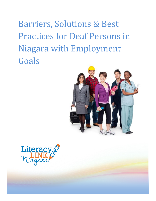Barriers, Solutions & Best Practices for Deaf Persons in Niagara with Employment Goals



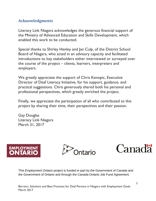# <span id="page-1-0"></span>**Acknowledgments**

Literacy Link Niagara acknowledges the generous financial support of the Ministry of Advanced Education and Skills Development, which enabled this work to be conducted.

Special thanks to Shirley Henley and Jan Culp, of the District School Board of Niagara, who acted in an advisory capacity and facilitated introductions to key stakeholders either interviewed or surveyed over the course of the project – clients, learners, interpreters and employers.

We greatly appreciate the support of Chris Kenopic, Executive Director of Deaf Literacy Initiative, for his support, guidance, and practical suggestions. Chris generously shared both his personal and professional perspectives, which greatly enriched the project.

Finally, we appreciate the participation of all who contributed to this project by sharing their time, their perspectives and their passion.

Gay Douglas Literacy Link Niagara March 31, 2017







This *Employment Ontario* project is funded in part by the Government of Canada and the Government of Ontario and through the Canada-Ontario Job Fund Agreement.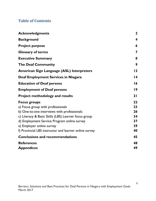# **Table of Contents**

| <b>Acknowledgments</b>                                                                                                                                                                                                                                                                                | $\mathbf 2$                            |
|-------------------------------------------------------------------------------------------------------------------------------------------------------------------------------------------------------------------------------------------------------------------------------------------------------|----------------------------------------|
| <b>Background</b>                                                                                                                                                                                                                                                                                     | $\boldsymbol{4}$                       |
| <b>Project purpose</b>                                                                                                                                                                                                                                                                                | 6                                      |
| <b>Glossary of terms</b>                                                                                                                                                                                                                                                                              | 7                                      |
| <b>Executive Summary</b>                                                                                                                                                                                                                                                                              | 8                                      |
| <b>The Deaf Community</b>                                                                                                                                                                                                                                                                             | 9                                      |
| <b>American Sign Language (ASL) Interpreters</b>                                                                                                                                                                                                                                                      | 12                                     |
| Deaf Employment Services in Niagara                                                                                                                                                                                                                                                                   | $\overline{14}$                        |
| <b>Education of Deaf persons</b>                                                                                                                                                                                                                                                                      | 16                                     |
| <b>Employment of Deaf persons</b>                                                                                                                                                                                                                                                                     | 19                                     |
| <b>Project methodology and results</b>                                                                                                                                                                                                                                                                | 21                                     |
| <b>Focus groups</b><br>a) Focus group with professionals<br>b) One-to-one interviews with professionals<br>c) Literacy & Basic Skills (LBS) Learner focus group<br>d) Employment Service Program online survey<br>e) Employer online survey<br>f) Provincial LBS instructor and learner online survey | 22<br>23<br>26<br>34<br>37<br>39<br>40 |
| <b>Conclusions and recommendations</b>                                                                                                                                                                                                                                                                | 45                                     |
| <b>References</b><br><b>Appendices</b>                                                                                                                                                                                                                                                                | 48<br>49                               |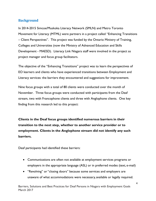### **Background**

In 2014-2015 Simcoe/Muskoka Literacy Network (SMLN) and Metro Toronto Movement for Literacy (MTML) were partners in a project called "Enhancing Transitions – Client Perspectives". This project was funded by the Ontario Ministry of Training, Colleges and Universities (now the Ministry of Advanced Education and Skills Development - MAESD). Literacy Link Niagara staff were involved in the project as project manager and focus group facilitators.

The objective of the "Enhancing Transitions" project was to learn the perspectives of EO learners and clients who have experienced transitions between Employment and Literacy services: the barriers they encountered and suggestions for improvement.

Nine focus groups with a total of 80 clients were conducted over the month of November. Three focus groups were conducted with participants from the Deaf stream, two with Francophone clients and three with Anglophone clients. One key finding from this research led to this project:

**Clients in the Deaf focus groups identified numerous barriers in their transition to the next step, whether to another service provider or to employment. Clients in the Anglophone stream did not identify any such barriers.**

Deaf participants had identified these barriers:

- Communications are often not available at employment services programs or employers in the appropriate language (ASL) or in preferred modes (text, e-mail)
- "Revolving" or "closing doors" because some services and employers are unaware of what accommodations were necessary, available or legally required.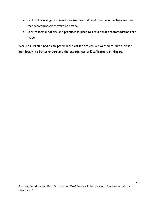- Lack of knowledge and resources (money, staff, and time) as underlying reasons that accommodations were not made.
- Lack of formal policies and practices in place to ensure that accommodations are made.

Because LLN staff had participated in the earlier project, we wanted to take a closer look locally, to better understand the experiences of Deaf learners in Niagara.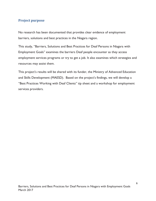### <span id="page-5-0"></span>**Project purpose**

No research has been documented that provides clear evidence of employment barriers, solutions and best practices in the Niagara region.

This study, "Barriers, Solutions and Best Practices for Deaf Persons in Niagara with Employment Goals" examines the barriers Deaf people encounter as they access employment services programs or try to get a job. It also examines which strategies and resources may assist them.

This project's results will be shared with its funder, the Ministry of Advanced Education and Skills Development (MAESD). Based on the project's findings, we will develop a "Best Practices Working with Deaf Clients" tip sheet and a workshop for employment services providers.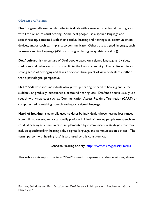### <span id="page-6-0"></span>**Glossary of terms**

**Deaf:** is generally used to describe individuals with a severe to profound hearing loss, with little or no residual hearing. Some deaf people use a spoken language and speechreading, combined with their residual hearing and hearing aids, communication devices, and/or cochlear implants to communicate. Others use a signed language, such as American Sign Language (ASL) or la langue des signes québécoise (LSQ).

**Deaf culture:** is the culture of Deaf people based on a signed language and values, traditions and behaviour norms specific to the Deaf community. Deaf culture offers a strong sense of belonging and takes a socio-cultural point of view of deafness, rather than a pathological perspective.

**Deafened:** describes individuals who grow up hearing or hard of hearing and, either suddenly or gradually, experience a profound hearing loss. Deafened adults usually use speech with visual cues such as [Communication Access Realtime Translation \(CART\)](http://www.chs.ca/services/speech-text-transcription-cart-%E2%80%93-communication-access-realtime-translation) or computerized notetaking, speechreading or a signed language.

**Hard of hearing:** is generally used to describe individuals whose hearing loss ranges from mild to severe, and occasionally profound. Hard of hearing people use speech and residual hearing to communicate, supplemented by communication strategies that may include speechreading, hearing aids, a signed language and communication devices. The term "person with hearing loss" is also used by this constituency.

- Canadian Hearing Society,<http://www.chs.ca/glossary-terms>

Throughout this report the term "Deaf" is used to represent all the definitions, above.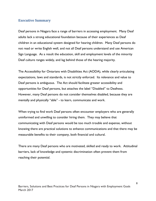### <span id="page-7-0"></span>**Executive Summary**

Deaf persons in Niagara face a range of barriers in accessing employment. Many Deaf adults lack a strong educational foundation because of their experiences as Deaf children in an educational system designed for hearing children. Many Deaf persons do not read or write English well, and not all Deaf persons understand and use American Sign Language. As a result the education, skill and employment levels of the minority Deaf culture ranges widely, and lag behind those of the hearing majority.

The Accessibility for Ontarians with Disabilities Act (AODA), while clearly articulating expectations, laws and standards, is not strictly enforced. Its relevance and value to Deaf persons is ambiguous. The Act should facilitate greater accessibility and opportunities for Deaf persons, but attaches the label "Disabled" to Deafness. However, many Deaf persons do not consider themselves disabled, because they are mentally and physically "able" - to learn, communicate and work.

When trying to find work Deaf persons often encounter employers who are generally uninformed and unwilling to consider hiring them. They may believe that communicating with Deaf persons would be too much trouble and expense, without knowing there are practical solutions to enhance communications and that there may be measurable benefits to their company, both financial and cultural.

There are many Deaf persons who are motivated, skilled and ready to work. Attitudinal barriers, lack of knowledge and systemic discrimination often prevent them from reaching their potential.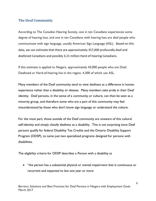### <span id="page-8-0"></span>**The Deaf Community**

According to The Canadian Hearing Society, one in ten Canadians experiences some degree of hearing loss, and one in ten Canadians with hearing loss are deaf people who communicate with sign language, usually American Sign Language (ASL). Based on this data, we can estimate that there are approximately 357,000 profoundly deaf and deafened Canadians and possibly 3.21 million Hard-of-hearing Canadians.

If this estimate is applied to Niagara, approximately 43,000 people who are Deaf, Deafened or Hard-of-hearing live in the region, 4,300 of which use ASL.

Many members of the Deaf community tend to view [deafness](https://en.wikipedia.org/wiki/Hearing_loss) as a difference in human experience rather than a [disability](https://en.wikipedia.org/wiki/Disability) or [disease.](https://en.wikipedia.org/wiki/Disease) Many members take pride in their Deaf identity. Deaf persons, in the sense of a community or culture, can then be seen as a [minority](https://en.wikipedia.org/wiki/Minority_group) group, and therefore some who are a part of this community may feel misunderstood by those who don't know sign language or understand the culture.

For the most part, those outside of the Deaf community are unaware of this cultural self-identity and simply classify deafness as a disability. This is not surprising since Deaf persons qualify for federal Disability Tax Credits and the Ontario Disability Support Program (ODSP), to name just two specialized programs designed for persons with disabilities.

The eligibility criteria for ODSP describes a Person with a disability as

 "the person has a substantial physical or mental impairment that is continuous or recurrent and expected to last one year or more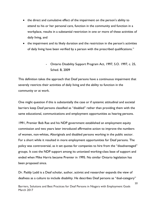- the direct and cumulative effect of the impairment on the person's ability to attend to his or her personal care, function in the community and function in a workplace, results in a substantial restriction in one or more of these activities of daily living, and
- the impairment and its likely duration and the restriction in the person's activities of daily living have been verified by a person with the prescribed qualifications."

# - Ontario Disability Support Program Act, 1997, S.O. 1997, c. 25, Sched. B, 2009

This definition takes the approach that Deaf persons have a continuous impairment that severely restricts their activities of daily living and the ability to function in the community or at work.

One might question if this is substantially the case or if systemic attitudinal and societal barriers keep Deaf persons classified as "disabled" rather than providing them with the same educational, communications and employment opportunities as hearing persons.

1991, Premier Bob Rae and his NDP government established an employment equity commission and two years later introduced [affirmative action](https://en.wikipedia.org/wiki/Affirmative_action) to improve the numbers of women, non-whites, Aboriginals and disabled persons working in the public sector. For a short while it resulted in more employment opportunities for Deaf persons. The policy was controversial, as it set quotas for companies to hire from the "disadvantaged" groups. It cost the NDP support among its unionized working-class base of support and ended when Mike Harris became Premier in 1995. No similar Ontario legislation has been proposed since.

Dr. Paddy Ladd is a Deaf scholar, author, activist and researcher expands the view of deafness as a culture to include disability. He describes Deaf persons as "dual-category"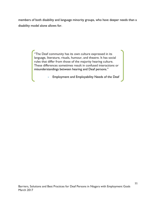members of both disability and language minority groups, who have deeper needs than a disability model alone allows for.

> "The Deaf community has its own culture expressed in its language, literature, rituals, humour, and theatre. It has social rules that differ from those of the majority hearing culture. These differences sometimes result in confused interactions or misunderstandings between hearing and Deaf persons."

> > - Employment and Employability Needs of the Deaf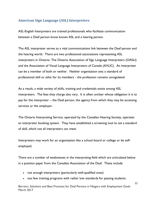### <span id="page-11-0"></span>**American Sign Language (ASL) Interpreters**

ASL-English Interpreters are trained professionals who facilitate communication between a Deaf person know knows ASL and a hearing person.

The ASL interpreter serves as a vital communications link between the Deaf person and the hearing world. There are two professional associations representing ASL interpreters in Ontario: The Ontario Association of Sign Language Interpreters (OASLI) and the Association of Visual Language Interpreters of Canada (AVLIC). An interpreter can be a member of both or neither. Neither organization sets a standard of professional skill or ethic for its members - the profession remains unregulated.

As a result, a wide variety of skills, training and credentials exists among ASL interpreters. The fees they charge also vary. It is often unclear whose obligation it is to pay for the interpreter – the Deaf person, the agency from which they may be accessing services or the employer.

The Ontario Interpreting Service, operated by the Canadian Hearing Society, operates an interpreter booking system. They have established a screening tool to set a standard of skill, which not all interpreters can meet.

Interpreters may work for an organization like a school board or college or be selfemployed.

There are a number of weaknesses in the interpreting field which are articulated below in a position paper from the Canadian Association of the Deaf. These include

- not enough interpreters (particularly well-qualified ones)
- too few training programs with rather low standards for passing students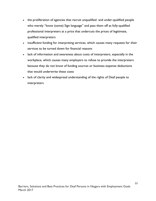- the proliferation of agencies that recruit unqualified and under-qualified people who merely "know (some) Sign language" and pass them off as fully-qualified professional interpreters at a price that undercuts the prices of legitimate, qualified interpreters
- insufficient funding for interpreting services, which causes many requests for their services to be turned down for financial reasons
- lack of information and awareness about costs of interpreters, especially in the workplace, which causes many employers to refuse to provide the interpreters because they do not know of funding sources or business expense deductions that would underwrite these costs
- lack of clarity and widespread understanding of the rights of Deaf people to interpreters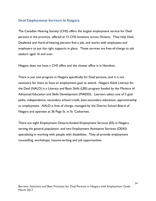### <span id="page-13-0"></span>**Deaf Employment Services in Niagara**

The Canadian Hearing Society (CHS) offers the largest employment service for Deaf persons in the province, offered at 15 CHS locations across Ontario. They help Deaf, Deafened and Hard-of-hearing persons find a job, and works with employees and employers to put the right supports in place. These services are free-of-charge to job seekers aged 16 and over.

Niagara does not have a CHS office and the closest office is in Hamilton.

There is just one program in Niagara specifically for Deaf persons, and it is not necessary for them to have an employment goal to attend. Niagara Adult Literacy for the Deaf (NALD) is a Literacy and Basic Skills (LBS) program funded by the Ministry of Advanced Education and Skills Development (MAESD). Learners select one of 5 goal paths, independence, secondary school credit, post-secondary education, apprenticeship or employment. NALD is free of charge, managed by the District School Board of Niagara and operates at 36 Page St. in St. Catharines.

There are eight Employment Ontario-funded Employment Services (ES) in Niagara serving the general population, and two Employment Assistance Services (OEAS) specializing in working with people with disabilities. They all provide employment counselling, workshops, resume-writing and job opportunities.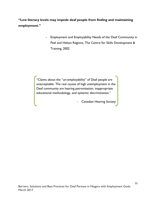**"Low literacy levels may impede deaf people from finding and maintaining employment."**

> - Employment and Employability Needs of the Deaf Community in Peel and Halton Regions, The Centre for Skills Development & Training, 2002

"Claims about the "un-employability" of Deaf people are unacceptable. The real causes of high unemployment in the Deaf community are hearing patronization, inappropriate educational methodology, and systemic discrimination."

- Canadian Hearing Society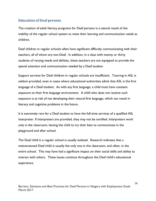### <span id="page-15-0"></span>**Education of Deaf persons**

The creation of adult literacy programs for Deaf persons is a natural result of the inability of the regular school system to meet their learning and communication needs as children.

Deaf children in regular schools often have significant difficulty communicating with their teachers, all of whom are non-Deaf. In addition, in a class with twenty or thirty students of varying needs and abilities, these teachers are not equipped to provide the special attention and communication needed by a Deaf student.

Support services for Deaf children in regular schools are insufficient. Tutoring in ASL is seldom provided, even in cases where educational authorities admit that ASL is the first language of a Deaf student. As with any first language, a child must have constant exposure to their first language environment. A child who does not receive such exposure is at risk of not developing their natural first language, which can result in literacy and cognitive problems in the future.

It is extremely rare for a Deaf student to have the full-time services of a qualified ASL interpreter. If interpreters are provided, they may not be certified. Interpreters work only in the classroom, leaving the child to try their best to communicate in the playground and after school.

The Deaf child in a regular school is usually isolated. Research indicates that a mainstreamed Deaf child is usually the only one in the classroom, and often, in the entire school. This may have had a significant impact on their social skills and ability to interact with others. These issues continue throughout the Deaf child's educational experience.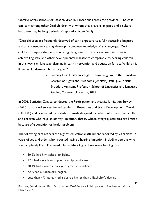Ontario offers schools for Deaf children in 5 locations across the province. The child can learn among other Deaf children with whom they share a language and a culture, but there may be long periods of separation from family.

"Deaf children are frequently deprived of early exposure to a fully accessible language and as a consequence, may develop incomplete knowledge of any language. Deaf children…require the provision of sign language from infancy onward in order to achieve linguistic and other developmental milestones comparable to hearing children. In this way, sign language planning in early intervention and education for deaf children is linked to fundamental human rights."

> - Framing Deaf Children's Right to Sign Language in the Canadian Charter of Rights and Freedoms, Jennifer J. Paul, J.D., Kristin Snoddon, Assistant Professor, School of Linguistics and Language Studies, Carleton University, 2017

In 2006, Statistics Canada conducted the Participation and Activity Limitation Survey (PALS), a national survey funded by Human Resources and Social Development Canada (HRSDC) and conducted by Statistics Canada designed to collect information on adults and children who have an activity limitation, that is, whose everyday activities are limited because of a condition or health problem.

The following data reflects the highest educational attainment reported by Canadians 15 years of age and older who reported having a hearing limitation, including persons who are completely Deaf, Deafened, Hard-of-hearing or have some hearing loss.

- 50.2% had high school or below
- 17.5 had a trade or apprenticeship certificate
- 20.1% had earned a college degree or certificate
- 7.5% had a Bachelor's degree
- Less than 4% had earned a degree higher than a Bachelor's degree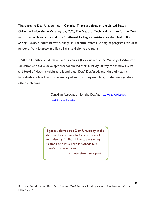There are no Deaf Universities in Canada. There are three in the United States: [Gallaudet University in Washington, D.C.,](http://www2.gallaudet.edu/attend-gallaudet/about-gallaudet/) The [National Technical Institute for the Deaf](http://www.ntid.rit.edu/)  [in Rochester, New York](http://www.ntid.rit.edu/) and [The Southwest Collegiate Institute for the Deaf in Big](http://www.howardcollege.edu/swcid/)  [Spring, Texas.](http://www.howardcollege.edu/swcid/) George Brown College, in Toronto, offers a variety of programs for Deaf persons, from Literacy and Basic Skills to diploma programs.

1998 the Ministry of Education and Training's (fore-runner of the Ministry of Advanced Education and Skills Development) conducted their Literacy Survey of Ontario's Deaf and Hard of Hearing Adults and found that "Deaf, Deafened, and Hard-of-hearing individuals are less likely to be employed and that they earn less, on the average, than other Ontarians."

> Canadian Association for the Deaf at [http://cad.ca/issues](http://cad.ca/issues-positions/education/)[positions/education/](http://cad.ca/issues-positions/education/)

"I got my degree at a Deaf University in the states and came back to Canada to work and raise my family. I'd like to pursue my Master's or a PhD here in Canada but there's nowhere to go.

- Interview participant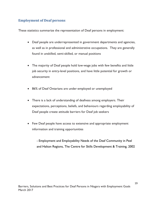### <span id="page-18-0"></span>**Employment of Deaf persons**

These statistics summarize the representation of Deaf persons in employment:

- Deaf people are underrepresented in government departments and agencies, as well as in professional and administrative occupations. They are generally found in unskilled, semi-skilled, or manual positions
- The majority of Deaf people hold low-wage jobs with few benefits and little job security in entry-level positions, and have little potential for growth or advancement
- 86% of Deaf Ontarians are under-employed or unemployed
- There is a lack of understanding of deafness among employers. Their expectations, perceptions, beliefs, and behaviours regarding employability of Deaf people create attitude barriers for Deaf job seekers
- Few Deaf people have access to extensive and appropriate employment information and training opportunities

- Employment and Employability Needs of the Deaf Community in Peel and Halton Regions, The Centre for Skills Development & Training, 2002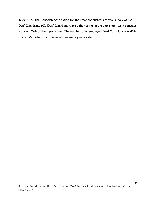In 2014-15, The Canadian Association for the Deaf conducted a formal survey of 365 Deaf Canadians. 60% Deaf Canadians were either self-employed or short-term contract workers, 24% of them part-time. The number of unemployed Deaf Canadians was 40%, a rate 32% higher than the general unemployment rate.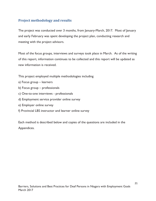## <span id="page-20-0"></span>**Project methodology and results**

The project was conducted over 3 months, from January-March, 2017. Most of January and early February was spent developing the project plan, conducting research and meeting with the project advisors.

Most of the focus groups, interviews and surveys took place in March. As of the writing of this report, information continues to be collected and this report will be updated as new information is received.

This project employed multiple methodologies including

- a) Focus group learners
- b) Focus group professionals
- c) One-to-one interviews professionals
- d) Employment service provider online survey
- e) Employer online survey
- f) Provincial LBS instructor and learner online survey

Each method is described below and copies of the questions are included in the Appendices.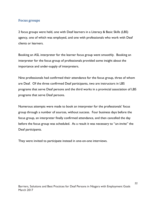### <span id="page-21-0"></span>**Focus groups**

2 focus groups were held, one with Deaf learners in a Literacy & Basic Skills (LBS) agency, one of which was employed, and one with professionals who work with Deaf clients or learners.

Booking an ASL interpreter for the learner focus group went smoothly. Booking an interpreter for the focus group of professionals provided some insight about the importance and under-supply of interpreters.

Nine professionals had confirmed their attendance for the focus group, three of whom are Deaf. Of the three confirmed Deaf participants, two are instructors in LBS programs that serve Deaf persons and the third works in a provincial association of LBS programs that serve Deaf persons.

Numerous attempts were made to book an interpreter for the professionals' focus group through a number of sources, without success. Four business days before the focus group, an interpreter finally confirmed attendance, and then cancelled the day before the focus group was scheduled. As a result it was necessary to "un-invite" the Deaf participants.

They were invited to participate instead in one-on-one interviews.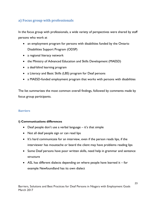# <span id="page-22-0"></span>**a) Focus group with professionals**

In the focus group with professionals, a wide variety of perspectives were shared by staff persons who work at

- an employment program for persons with disabilities funded by the Ontario Disabilities Support Program (ODSP)
- a regional literacy network
- the Ministry of Advanced Education and Skills Development (MAESD)
- a deaf-blind learning program
- a Literacy and Basic Skills (LBS) program for Deaf persons
- a MAESD-funded employment program that works with persons with disabilities

The list summarizes the most common overall findings, followed by comments made by focus group participants.

#### **Barriers**

#### **i) Communications differences**

- Deaf people don't use a verbal language it's that simple
- Not all deaf people sign or can read lips
- It's hard communicate for an interview, even if the person reads lips, if the interviewer has moustache or beard the client may have problems reading lips
- Some Deaf persons have poor written skills, need help in grammar and sentence structure
- ASL has different dialects depending on where people have learned it  $-$  for example Newfoundland has its own dialect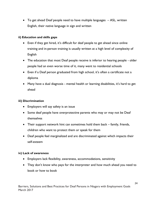To get ahead Deaf people need to have multiple languages – ASL, written English, their native language in sign and written

#### **ii) Education and skills gaps**

- Even if they get hired, it's difficult for deaf people to get ahead since online training and in-person training is usually written at a high level of complexity of English
- The education that most Deaf people receive is inferior to hearing people older people had an even worse time of it, many went to residential schools
- Even if a Deaf person graduated from high school, it's often a certificate not a diploma
- Many have a dual diagnosis mental health or learning disabilities, it's hard to get ahead

### **iii) Discrimination**

- Employers will say safety is an issue
- Some deaf people have overprotective parents who may or may not be Deaf themselves
- Their support network hint can sometimes hold them back family, friends, children who want to protect them or speak for them
- Deaf people feel marginalized and are discriminated against which impacts their self-esteem

#### **iv) Lack of awareness**

- Employers lack flexibility, awareness, accommodations, sensitivity
- They don't know who pays for the interpreter and how much ahead you need to book or how to book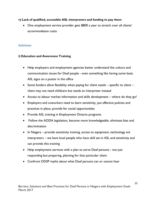#### **v) Lack of qualified, accessible ASL interpreters and funding to pay them**

• One employment service provider gets \$800 a year to stretch over all clients' accommodation costs

#### **Solutions**

#### **i) Education and Awareness Training**

- Help employers and employment agencies better understand the culture and communication issues for Deaf people - even something like having some basic ASL signs on a poster in the office
- $\bullet$  Some funders allow flexibility when paying for client needs specific to client client may not need childcare but needs an interpreter instead
- Access to labour market information and skills development where do they go?
- Employers and coworkers need to learn sensitivity, put effective policies and practices in place, provide for social opportunities
- Provide ASL training in Employment Ontario programs
- Follow the AODA legislation, become more knowledgeable, eliminate bias and discrimination
- $\bullet$  In Niagara provide sensitivity training, access to equipment, technology ant interpreters – we have local people who have skill set in ASL and sensitivity and can provide this training
- Help employment services with a plan to serve Deaf persons not just responding but preparing, planning for that particular client
- Confront ODSP myths about what Deaf persons can or cannot hear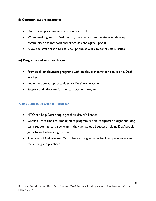#### **ii) Communications strategies**

- One to one program instruction works well
- When working with a Deaf person, use the first few meetings to develop communications methods and processes and agree upon it
- Allow the staff person to use a cell phone at work to cover safety issues

#### **iii) Programs and services design**

- Provide all employment programs with employer incentives to take on a Deaf worker
- Implement co-op opportunities for Deaf learners/clients
- Support and advocate for the learner/client long term

#### **Who's doing good work in this area?**

- MTO can help Deaf people get their driver's licence
- ODSP's Transitions to Employment program has an interpreter budget and longterm support up to three years – they've had good success helping Deaf people get jobs and advocating for them
- The cities of Oakville and Milton have strong services for Deaf persons look there for good practices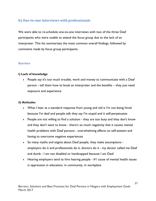## <span id="page-26-0"></span>**b) One-to-one interviews with professionals**

We were able to re-schedule one-to-one interviews with two of the three Deaf participants who were unable to attend the focus group due to the lack of an interpreter. This list summarizes the most common overall findings, followed by comments made by focus group participants.

#### **Barriers**

#### **i) Lack of knowledge**

 People say it's too much trouble, work and money to communicate with a Deaf person - tell them how to book an interpreter and the benefits – they just need exposure and experience

#### **ii) Attitudes**

- What I hear as a standard response from young and old is I'm not being hired because I'm deaf and people talk they say I'm stupid and it self-perpetuates
- People are not willing to find a solution they are too busy and they don't know and they don't want to know - there's so much negativity that it causes mental health problems with Deaf persons - overwhelming effects on self-esteem and having to overcome negative experiences
- So many myths and stigma about Deaf people, they make assumptions employers do it and professionals do it, doctors do it - my doctor called me Deaf and dumb - I am not disabled or handicapped because I am Deaf
- Hearing employers tend to hire hearing people #I cause of mental health issues is oppression in education, in community, in workplace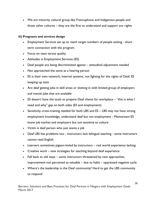We are minority cultural group like Francophone and Indigenous people and those other cultures – they are the first to understand and support our rights

#### **iii) Programs and services design**

- Employment Services set up to reach target numbers of people exiting short term connection with the program
- Focus on stats versus quality
- Attitudes in Employment Services (ES)
- Deaf people are being discriminated against attitudinal adjustment needed
- Not approached the same as a hearing person
- ES is their own network, internal systems, not fighting for the rights of Deaf, ES keeping up stats
- Are deaf getting jobs in skill areas or slotting in with limited group of employers and menial jobs that are available
- ES doesn't have the tools to prepare Deaf clients for workplace "this is what I need and why" gap on both sides (ES and employment)
- Sensitivity cross-training needed for both LBS and ES LBS may not have strong employment knowledge, understand deaf but not employment - Mainstream ES know job market and employers but not sensitive to culture
- Victim is deaf person who just wants a job
- Deaf LBS has problems too instructors lack bilingual teaching some instructors cannot read English
- Learners sometimes pigeon-holed by instructors real world experience lacking
- Creative work new strategies for teaching beyond deaf experience
- Fall back to old ways some instructors threatened by new approaches, improvement not perceived as valuable – due to habit – oppressed negative cycle
- Where's the leadership in the Deaf community? Hard to get the LBS community to respond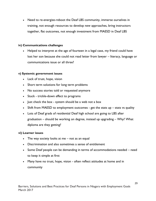• Need to re-energize-reboot the Deaf LBS community, immerse ourselves in training, not enough resources to develop new approaches, bring instructors together, flat outcomes, not enough investment from MAESD in Deaf LBS

#### **iv) Communications challenges**

• Helped to interpret at the age of fourteen in a legal case, my friend could have lost her son because she could not read letter from lawyer – literacy, language or communications issue or all three?

#### **v) Systemic government issues**

- Lack of trust, hope, vision
- Short term solutions for long term problems
- No success stories told or requested anymore
- Stuck trickle-down effect to programs
- Just check the box system should be a web not a box
- Shift from MAESD to employment outcomes get the stats up stats vs quality
- Lots of Deaf grads of residential Deaf high school are going to LBS after graduation – should be working on degree, instead up upgrading – Why? What diploma are they getting?

#### **vi) Learner issues**

- The way society looks at me not as an equal
- Discrimination and also sometimes a sense of entitlement
- Some Deaf people can be demanding in terms of accommodations needed need to keep it simple at first
- Many have no trust, hope, vision often reflect attitudes at home and in community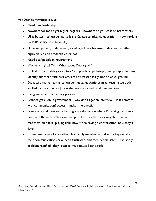#### **vii) Deaf community issues**

- Need new leadership
- Nowhere for me to get higher degrees nowhere to go- cost of interpreters
- US is better colleague had to leave Canada to advance education now working on PHD, CEO of a University
- Under-employed, undervalued, a ceiling limits because of deafness whether highly skilled and credentialed or not
- Need deaf people in government
- Women's rights? Yes What about Deaf rights?
- Is Deafness a disability or culture? depends on philosophy and perspective –my identity but there ARE barriers, I'm not treated fairly, not on equal ground
- Did a test with a hearing colleague equal education/similar resume we both applied to the same ten jobs – she was contacted by all ten, me, one
- Rae government had equity policies
- I cannot get a job in government why don't I get an interview? is it comfort with communication? access? - makes me question
- I can speak and have some hearing in a discussion where I'm trying to make a point and the interpreter can't keep up I just speak – shocking shift – now I've met them on a level playing field, now we're having a conversation, now they'll listen
- I sometimes speak for another Deaf family member who does not speak after their communications have been frustrated, and then people listen – "so sorry, problem rectified" they listen to me because I can speak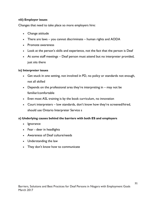#### **viii) Employer issues**

Changes that need to take place so more employers hire:

- Change attitude
- There are laws you cannot discriminate human rights and AODA
- Promote awareness
- Look at the person's skills and experience, not the fact that the person is Deaf
- At some staff meetings Deaf person must attend but no interpreter provided, just sits there

#### **ix) Interpreter issues**

- Get stuck in one setting, not involved in PD, no policy or standards not enough, not all skilled
- Depends on the professional area they're interpreting in may not be familiar/comfortable
- Even most ASL training is by the book curriculum, no innovation
- Court interpreters low standards, don't know how they're screened/hired, should use Ontario Interpreter Service s

#### **x) Underlying causes behind the barriers with both ES and employers**

- Ignorance
- Fear deer in headlights
- Awareness of Deaf culture/needs
- Understanding the law
- They don't know how to communicate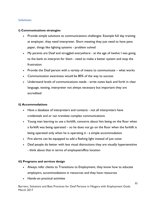#### **Solutions**

#### **i) Communications strategies**

- Provide simple solutions to communications challenges: Example full day training at employer, they need interpreter. Short meeting they just need to have pens paper, things like lighting systems - problem solved
- My parents are Deaf and struggled everywhere at the age of twelve I was going to the bank to interpret for them - need to make a better system and stop the frustration
- Provide the Deaf person with a variety of means to communicate what works
- Communication awareness would be 80% of the way to success
- Understand levels of communications needs write notes back and forth in clear language, texting, interpreter not always necessary but important they are accredited

#### **ii) Accommodations**

- Have a database of interpreters and contacts not all interpreters have credentials and or can translate complex communications
- Young man learning to use a forklift, concerns about him being on the floor when a forklift was being operated – so he does not go on the floor when the forklift is being operated only when he is operating it - a simple accommodation
- Fire alarms can be equipped to add a flashing light instead of just noise
- Deaf people do better with less visual distractions they are visually hypersensitive - think about that in terms of employee/office location

#### **iii) Programs and services design**

- Always refer clients to Transitions to Employment, they know how to educate employers, accommodations in resources and they have resources
- Hands-on practical activities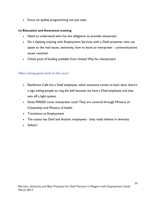Focus on quality programming not just stats

#### **iv) Education and Awareness training**

- Need to understand who has the obligation to provide interpreter
- Do a daylong training with Employment Services with a Deaf presenter who can speak to the real issues, sensitivity, how to book an interpreter - communications issues resolved
- Check pool of funding available from United Way for interpreters

#### **Who's doing good work in this area?**

- Rainforest Café has a Deaf employee, when someone comes to back door there's a sign asking people to ring the bell because we have a Deaf employee and that sets off a light system
- Does MAESD cover interpreter cost? They are covered through Ministry of Citizenship and Ministry of health
- Transitions to Employment
- The casino has Deaf and Autistic employees they really believe in diversity
- Sobey's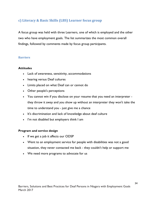## <span id="page-33-0"></span>**c) Literacy & Basic Skills (LBS) Learner focus group**

A focus group was held with three Learners, one of which is employed and the other two who have employment goals. The list summarizes the most common overall findings, followed by comments made by focus group participants.

#### **Barriers**

#### **Attitudes**

- Lack of awareness, sensitivity, accommodations
- hearing versus Deaf cultures
- Limits placed on what Deaf can or cannot do
- Other people's perceptions
- You cannot win if you disclose on your resume that you need an interpreter they throw it away and you show up without an interpreter they won't take the time to understand you - just give me a chance
- It's discrimination and lack of knowledge about deaf culture
- I'm not disabled but employers think I am

#### **Program and service design**

- If we get a job it affects our ODSP
- Went to an employment service for people with disabilities was not a good situation, they never contacted me back - they couldn't help or support me
- We need more programs to advocate for us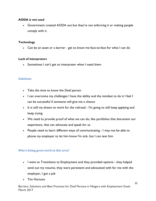#### **AODA is not used**

 Government created AODA out but they're not enforcing it or making people comply with it

#### **Technology**

Can be an asset or a barrier - get to know me face-to-face for what I can do

#### **Lack of interpreters**

• Sometimes I can't get an interpreter when I need them

#### **Solutions**

- Take the time to know the Deaf person
- I can overcome my challenges I have the ability and the mindset to do it I feel I can be successful if someone will give me a chance
- It is still my dream to work for the railroad I'm going to still keep applying and keep trying
- We need to provide proof of what we can do, like portfolios that document our experience, that can advocate and speak for us
- People need to learn different ways of communicating I may not be able to phone my employer to let him know I'm sick, but I can text him

#### **Who's doing great work in this area?**

- I went to Transitions to Employment and they provided options they helped send out my resume, they were persistent and advocated with for me with the employer, I got a job
- Tim Hortons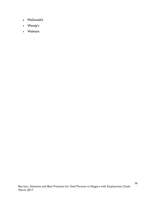- McDonald's
- Wendy's
- Walmart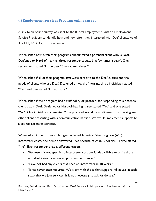## <span id="page-36-0"></span>**d) Employment Services Program online survey**

A link to an online survey was sent to the 8 local Employment Ontario Employment Service Providers to identify how and how often they interacted with Deaf clients. As of April 15, 2017, four had responded.

When asked how often their programs encountered a potential client who is Deaf, Deafened or Hard-of-hearing, three respondents stated "a few times a year". One respondent stated "In the past 20 years, two times."

When asked if all of their program staff were sensitive to the Deaf culture and the needs of clients who are Deaf, Deafened or Hard-of-hearing, three individuals stated "Yes" and one stated "I'm not sure".

When asked if their program had a staff policy or protocol for responding to a potential client that is Deaf, Deafened or Hard-of-hearing, three stated "Yes" and one stated "No". One individual commented "The protocol would be no different than serving any other client presenting with a communication barrier. We would implement supports to allow for access to services."

When asked if their program budgets included American Sign Language (ASL) interpreter costs, one person answered "Yes because of AODA policies." Three stated "No". Each respondent had a different reason.

- "Because it is not specific to interpreter cost but funds available to assist those with disabilities to access employment assistance."
- . "Have not had any clients that need an interpreter in 10 years."
- "It has never been required. We work with those that support individuals in such a way that we join services. It is not necessary to ask for dollars."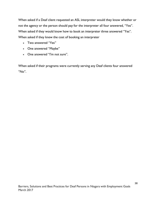When asked if a Deaf client requested an ASL interpreter would they know whether or not the agency or the person should pay for the interpreter all four answered, "Yes". When asked if they would know how to book an interpreter three answered "Yes". When asked if they knew the cost of booking an interpreter

- Two answered "Yes"
- One answered "Maybe"
- One answered "I'm not sure".

When asked if their programs were currently serving any Deaf clients four answered "No".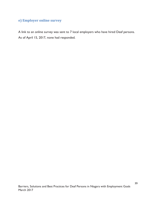# <span id="page-38-0"></span>**e) Employer online survey**

A link to an online survey was sent to 7 local employers who have hired Deaf persons. As of April 15, 2017, none had responded.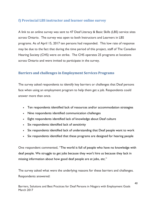## <span id="page-39-0"></span>**f) Provincial LBS instructor and learner online survey**

A link to an online survey was sent to 47 Deaf Literacy & Basic Skills (LBS) service sites across Ontario.The survey was open to both Instructors and Learners in LBS programs. As of April 15, 2017 ten persons had responded. This low rate of response may be due to the fact that during the time period of this project, staff of The Canadian Hearing Society (CHS) were on strike. The CHS operates 25 programs at locations across Ontario and were invited to participate in the survey.

### **Barriers and challenges in Employment Services Programs**

The survey asked respondents to identify key barriers or challenges that Deaf persons face when using an employment program to help them get a job. Respondents could answer more than once.

- Ten respondents identified lack of resources and/or accommodation strategies
- Nine respondents identified communication challenges
- Eight respondents identified lack of knowledge about Deaf culture
- Six respondents identified lack of sensitivity
- Six respondents identified lack of understanding that Deaf people want to work
- Six respondents identified that these programs are designed for hearing people

One respondent commented, "The world is full of people who have no knowledge with deaf people. We struggle to get jobs because they won't hire us because they lack in missing information about how good deaf people are at jobs, etc."

The survey asked what were the underlying reasons for these barriers and challenges. Respondents answered: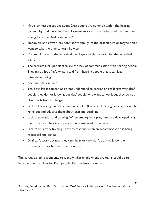- Myths or misconceptions about Deaf people are common within the hearing community, and I wonder if employment services truly understand the needs and strengths of the Deaf community?
- Employers and coworkers don't know enough of the deaf culture or maybe don't want to take the time to learn how to.
- Communicate with the individual. Employers might be afraid for the individual's safety.
- The barriers Deaf people face are the lack of communication with hearing people. They miss a lot of info what is said from hearing people that it can lead misunderstanding.
- Accommodation issues
- Yes, both Most companies do not understand to barrier or challenges with deaf people they do not know about deaf people who want to work but they do not hire..... It is hard challenges...
- Lack of knowledge in deaf community. CHS (Canadian Hearing Society) should be going out and educate them about deaf and deafblind.
- Lack of education and training. When employment programs are developed only the mainstream hearing population is considered for service.
- Lack of sensitivity training how to respond when an accommodation is being requested and denied.
- Deaf can't work because they can't hear or they don't want to know the experiences they have in other countries.

The survey asked respondents to identify what employment programs could do to improve their services for Deaf people. Respondents answered: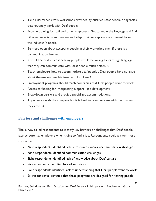- Take cultural sensitivity workshops provided by qualified Deaf people or agencies that routinely work with Deaf people.
- Provide training for staff and other employers. Get to know the language and find different ways to communicate and adapt their workplace environment to suit the individual's needs.
- Be more open about accepting people in their workplace even if there is a communication barrier.
- It would be really nice if hearing people would be willing to learn sign language that they can communicate with Deaf people much better. :)
- Teach employers how to accommodate deaf people . Deaf people have no issue about themselves. Just big issue with Employer!
- Employment programs should teach companies that Deaf people want to work.
- Access to funding for interpreting support job development
- Breakdown barriers and provide specialized accommodations.
- Try to work with the company but it is hard to communicate with them when they resist it.

# **Barriers and challenges with employers**

The survey asked respondents to identify key barriers or challenges that Deaf people face by potential employers when trying to find a job. Respondents could answer more than once.

- Nine respondents identified lack of resources and/or accommodation strategies
- Nine respondents identified communication challenges
- Eight respondents identified lack of knowledge about Deaf culture
- Six respondents identified lack of sensitivity
- Four respondents identified lack of understanding that Deaf people want to work
- Six respondents identified that these programs are designed for hearing people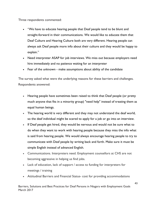Three respondents commented:

- "We have to educate hearing people that Deaf people tend to be blunt and straight-forward in their communications. We would like to educate them that Deaf Culture and Hearing Culture both are very different. Hearing people can always ask Deaf people more info about their culture and they would be happy to explain."
- Need interpreter ASAP for job interviews. We miss out because employers need hire immediately and no patience waiting for an interpreter
- Fear of the unknown make assumptions about ability of the candidate

The survey asked what were the underlying reasons for these barriers and challenges. Respondents answered:

- Hearing people have sometimes been raised to think that Deaf people (or pretty much anyone that fits in a minority group) "need help" instead of treating them as equal human beings.
- The hearing world is very different and they may not understand the deaf world, so the deaf individual might be scared to apply for a job or go into an interview.
- If Deaf people get hired, they would be nervous and would not be sure what to do when they want to work with hearing people because they miss the info what is said from hearing people. We would always encourage hearing people to try to communicate with Deaf people by writing back and forth. Make sure it must be simple English instead of advanced English.
- Communications. Interpreters need. Employment counsellors at CHS are not becoming aggressive in helping us find jobs.
- Lack of education, lack of support / access to funding for interpreters for meetings / training
- Attitudinal Barriers and Financial Status- cost for providing accommodations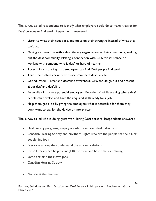The survey asked respondents to identify what employers could do to make it easier for Deaf persons to find work. Respondents answered:

- Listen to what their needs are, and focus on their strengths instead of what they can't do.
- Making a connection with a deaf literacy organization in their community, seeking out the deaf community. Making a connection with CHS for assistance on working with someone who is deaf, or hard of hearing.
- Accessibility is the key that employers can find Deaf people find work.
- Teach themselves about how to accommodate deaf people.
- Get educated !!! Deaf and deafblind awareness. CHS should go out and present about deaf and deafblind
- Be an ally introduce potential employers. Provide soft-skills training where deaf people can develop and have the required skills ready for a job.
- Help them get a job by giving the employers what is accessible for them they don't want to pay for the device or interpreter

The survey asked who is doing great work hiring Deaf persons. Respondents answered

- Deaf literacy programs, employers who have hired deaf individuals.
- Canadian Hearing Society and Northern Lights who are the people that help Deaf people find jobs.
- Everyone as long they understand the accommodations
- I wish Literacy can help to find JOB for them and best time for training
- Some deaf find their own jobs
- Canadian Hearing Society
- No one at the moment.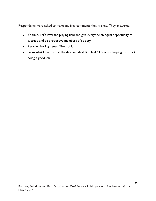Respondents were asked to make any final comments they wished. They answered:

- It's time. Let's level the playing field and give everyone an equal opportunity to succeed and be productive members of society.
- Recycled boring issues. Tired of it.
- <span id="page-44-0"></span>• From what I hear is that the deaf and deafblind feel CHS is not helping us or not doing a good job.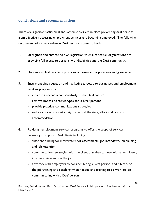# **Conclusions and recommendations**

There are significant attitudinal and systemic barriers in place preventing deaf persons from effectively accessing employment services and becoming employed. The following recommendations may enhance Deaf persons' access to both.

- 1. Strengthen and enforce AODA legislation to ensure that all organizations are providing full access to persons with disabilities and the Deaf community.
- 2. Place more Deaf people in positions of power in corporations and government.
- 3. Ensure ongoing education and marketing targeted to businesses and employment services programs to
	- increase awareness and sensitivity to the Deaf culture
	- remove myths and stereotypes about Deaf persons
	- provide practical communications strategies
	- reduce concerns about safety issues and the time, effort and costs of accommodation
- 4. Re-design employment services programs to offer the scope of services necessary to support Deaf clients including
	- sufficient funding for interpreters for assessments, job interviews, job training and job retention
	- communications strategies with the client that they can use with an employer, in an interview and on the job
	- advocacy with employers to consider hiring a Deaf person, and if hired, on the job training and coaching when needed and training to co-workers on communicating with a Deaf person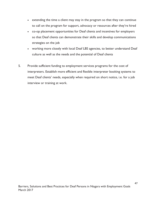- extending the time a client may stay in the program so that they can continue to call on the program for support, advocacy or resources after they're hired
- co-op placement opportunities for Deaf clients and incentives for employers so that Deaf clients can demonstrate their skills and develop communications strategies on the job
- working more closely with local Deaf LBS agencies, to better understand Deaf culture as well as the needs and the potential of Deaf clients
- 5. Provide sufficient funding to employment services programs for the cost of interpreters. Establish more efficient and flexible interpreter booking systems to meet Deaf clients' needs, especially when required on short notice, i.e. for a job interview or training at work.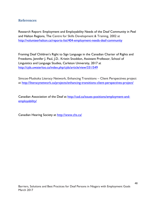### <span id="page-47-0"></span>**References**

Research Report: Employment and Employability Needs of the Deaf Community in Peel and Halton Regions, The Centre for Skills Development & Training, 2002 at <http://volunteerhalton.ca/reports-list/404-employment-needs-deaf-community>

Framing Deaf Children's Right to Sign Language in the Canadian Charter of Rights and Freedoms, Jennifer J. Paul, J.D., Kristin Snoddon, Assistant Professor, School of Linguistics and Language Studies, Carleton University, 2017 at <http://cjds.uwaterloo.ca/index.php/cjds/article/view/331/549>

Simcoe-Muskoka Literacy Network, Enhancing Transitions – Client Perspectives project at<http://literacynetwork.ca/projects/enhancing-transitions-client-perspectives-project/>

Canadian Association of the Deaf at [http://cad.ca/issues-positions/employment-and](http://cad.ca/issues-positions/employment-and-employability/)[employability/](http://cad.ca/issues-positions/employment-and-employability/)

Canadian Hearing Society at<http://www.chs.ca/>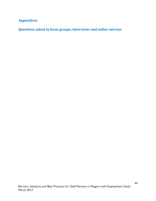# <span id="page-48-0"></span>**Appendices**

**Questions asked in focus groups, interviews and online surveys**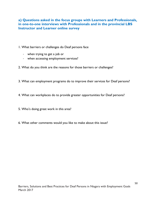## **a) Questions asked in the focus groups with Learners and Professionals, in one-to-one interviews with Professionals and in the provincial LBS Instructor and Learner online survey**

1. What barriers or challenges do Deaf persons face

- when trying to get a job or
- when accessing employment services?
- 2. What do you think are the reasons for those barriers or challenges?
- 3. What can employment programs do to improve their services for Deaf persons?
- 4. What can workplaces do to provide greater opportunities for Deaf persons?
- 5. Who's doing great work in this area?
- 6. What other comments would you like to make about this issue?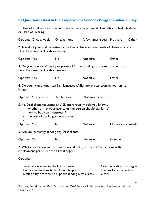# **b) Questions asked in the Employment Services Program online survey**

1. How often does your organization encounter a potential client who is Deaf, Deafened or Hard of Hearing?

|                                                                                                                                                                                                                                                                   |                                          | Options: Once a week Once a month                                                                 | A few times a year Not sure |       |                                                       | Other |  |  |
|-------------------------------------------------------------------------------------------------------------------------------------------------------------------------------------------------------------------------------------------------------------------|------------------------------------------|---------------------------------------------------------------------------------------------------|-----------------------------|-------|-------------------------------------------------------|-------|--|--|
| 2. Are all of your staff sensitive to the Deaf culture and the needs of clients who are<br>Deaf, Deafened or Hard-of-hearing?                                                                                                                                     |                                          |                                                                                                   |                             |       |                                                       |       |  |  |
| Options: Yes                                                                                                                                                                                                                                                      |                                          | <b>No</b>                                                                                         | Not sure                    |       | Other                                                 |       |  |  |
| 3. Do you have a staff policy or protocol for responding to a potential client that is<br>Deaf, Deafened or Hard-of hearing?                                                                                                                                      |                                          |                                                                                                   |                             |       |                                                       |       |  |  |
| <b>Options: Yes</b>                                                                                                                                                                                                                                               |                                          | <b>No</b>                                                                                         | Not sure                    |       | Other                                                 |       |  |  |
| 4. Do you include American Sign Language (ASL) interpreter costs in your annual<br>budget?                                                                                                                                                                        |                                          |                                                                                                   |                             |       |                                                       |       |  |  |
|                                                                                                                                                                                                                                                                   | Options: Yes because No because          |                                                                                                   | Not sure because            |       |                                                       |       |  |  |
| 5. If a Deaf client requested an ASL interpreter, would you know<br>whether or not your agency or the person should pay for it?<br>how to book an interpreter?<br>$\qquad \qquad \blacksquare$<br>the cost of booking an interpreter?<br>$\overline{\phantom{a}}$ |                                          |                                                                                                   |                             |       |                                                       |       |  |  |
| <b>Options: Yes</b>                                                                                                                                                                                                                                               |                                          | <b>No</b>                                                                                         | Not sure                    |       | Other or comments                                     |       |  |  |
| 6. Are you currently serving any Deaf clients?                                                                                                                                                                                                                    |                                          |                                                                                                   |                             |       |                                                       |       |  |  |
| <b>Options: Yes</b>                                                                                                                                                                                                                                               |                                          | No                                                                                                | Not sure                    |       | Comments                                              |       |  |  |
| 7. What information and resources would help you serve Deaf persons with<br>employment goals? Choose all that apply.                                                                                                                                              |                                          |                                                                                                   |                             |       |                                                       |       |  |  |
| Options:                                                                                                                                                                                                                                                          |                                          |                                                                                                   |                             |       |                                                       |       |  |  |
|                                                                                                                                                                                                                                                                   | Sensitivity training to the Deaf culture | Understanding how to book an interpreter<br>Draft policy/protocol to support serving Deaf clients |                             | Other | Communications strategies<br>Funding for interpreters |       |  |  |